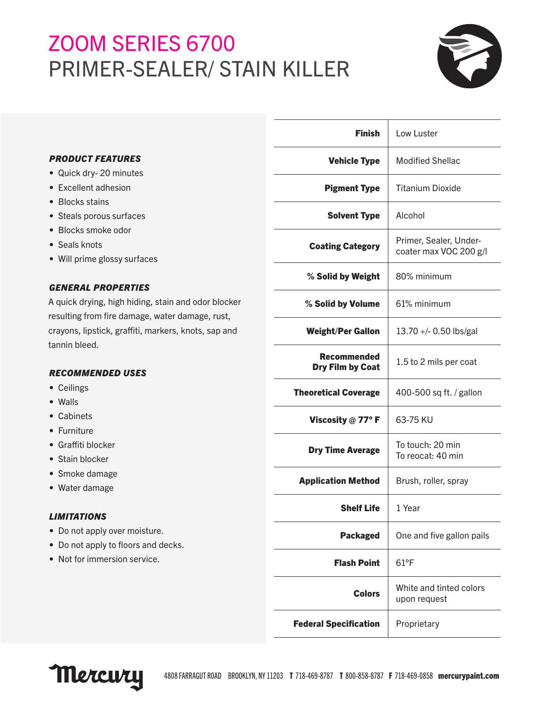# ZOOM SERIES 6700 PRIMER-SEALER/ STAIN KILLER



|                                                                                                                                                                                                                                                                                                                                                                                                                                                                                                                                                                                                                                                                                                              | <b>Finish</b>                          | Low Luster                                       |
|--------------------------------------------------------------------------------------------------------------------------------------------------------------------------------------------------------------------------------------------------------------------------------------------------------------------------------------------------------------------------------------------------------------------------------------------------------------------------------------------------------------------------------------------------------------------------------------------------------------------------------------------------------------------------------------------------------------|----------------------------------------|--------------------------------------------------|
| <b>PRODUCT FEATURES</b><br>• Quick dry-20 minutes<br>• Excellent adhesion<br>• Blocks stains<br>• Steals porous surfaces<br>• Blocks smoke odor<br>• Seals knots<br>• Will prime glossy surfaces<br><i><b>GENERAL PROPERTIES</b></i><br>A quick drying, high hiding, stain and odor blocker<br>resulting from fire damage, water damage, rust,<br>crayons, lipstick, graffiti, markers, knots, sap and<br>tannin bleed.<br><b>RECOMMENDED USES</b><br>• Ceilings<br>• Walls<br>• Cabinets<br>• Furniture<br>• Graffiti blocker<br>• Stain blocker<br>• Smoke damage<br>• Water damage<br>LIMITATIONS<br>• Do not apply over moisture.<br>• Do not apply to floors and decks.<br>• Not for immersion service. | <b>Vehicle Type</b>                    | <b>Modified Shellac</b>                          |
|                                                                                                                                                                                                                                                                                                                                                                                                                                                                                                                                                                                                                                                                                                              | <b>Pigment Type</b>                    | <b>Titanium Dioxide</b>                          |
|                                                                                                                                                                                                                                                                                                                                                                                                                                                                                                                                                                                                                                                                                                              | <b>Solvent Type</b>                    | Alcohol                                          |
|                                                                                                                                                                                                                                                                                                                                                                                                                                                                                                                                                                                                                                                                                                              | <b>Coating Category</b>                | Primer, Sealer, Under-<br>coater max VOC 200 g/l |
|                                                                                                                                                                                                                                                                                                                                                                                                                                                                                                                                                                                                                                                                                                              | % Solid by Weight                      | 80% minimum                                      |
|                                                                                                                                                                                                                                                                                                                                                                                                                                                                                                                                                                                                                                                                                                              | % Solid by Volume                      | 61% minimum                                      |
|                                                                                                                                                                                                                                                                                                                                                                                                                                                                                                                                                                                                                                                                                                              | <b>Weight/Per Gallon</b>               | 13.70 +/- 0.50 lbs/gal                           |
|                                                                                                                                                                                                                                                                                                                                                                                                                                                                                                                                                                                                                                                                                                              | <b>Recommended</b><br>Dry Film by Coat | 1.5 to 2 mils per coat                           |
|                                                                                                                                                                                                                                                                                                                                                                                                                                                                                                                                                                                                                                                                                                              | <b>Theoretical Coverage</b>            | 400-500 sq ft. / gallon                          |
|                                                                                                                                                                                                                                                                                                                                                                                                                                                                                                                                                                                                                                                                                                              | Viscosity $@$ 77° F                    | 63-75 KU                                         |
|                                                                                                                                                                                                                                                                                                                                                                                                                                                                                                                                                                                                                                                                                                              | <b>Dry Time Average</b>                | To touch: 20 min<br>To reocat: 40 min            |
|                                                                                                                                                                                                                                                                                                                                                                                                                                                                                                                                                                                                                                                                                                              | <b>Application Method</b>              | Brush, roller, spray                             |
|                                                                                                                                                                                                                                                                                                                                                                                                                                                                                                                                                                                                                                                                                                              | <b>Shelf Life</b>                      | 1 Year                                           |
|                                                                                                                                                                                                                                                                                                                                                                                                                                                                                                                                                                                                                                                                                                              | <b>Packaged</b>                        | One and five gallon pails                        |
|                                                                                                                                                                                                                                                                                                                                                                                                                                                                                                                                                                                                                                                                                                              | <b>Flash Point</b>                     | $61^{\circ}F$                                    |
|                                                                                                                                                                                                                                                                                                                                                                                                                                                                                                                                                                                                                                                                                                              | <b>Colors</b>                          | White and tinted colors<br>upon request          |
|                                                                                                                                                                                                                                                                                                                                                                                                                                                                                                                                                                                                                                                                                                              | <b>Federal Specification</b>           | Proprietary                                      |